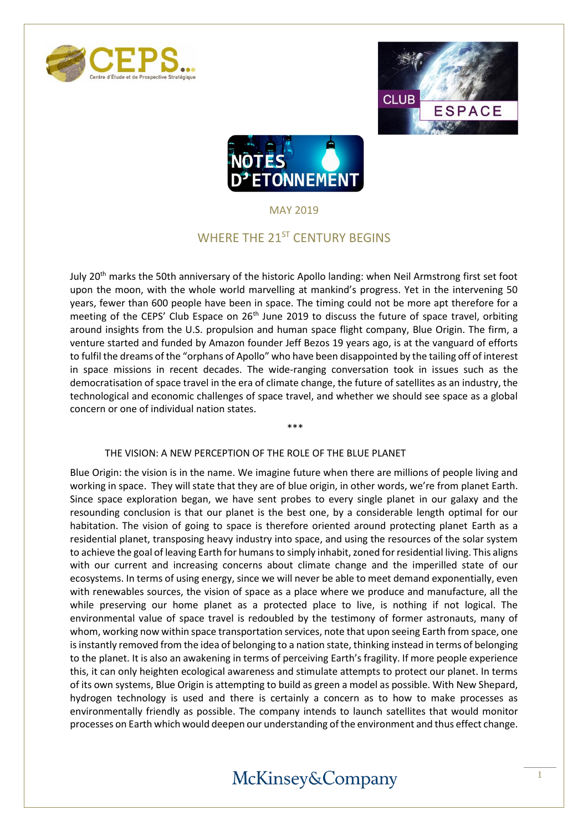





MAY 2019

### WHERE THE 21<sup>ST</sup> CENTURY BEGINS

July 20<sup>th</sup> marks the 50th anniversary of the historic Apollo landing: when Neil Armstrong first set foot upon the moon, with the whole world marvelling at mankind's progress. Yet in the intervening 50 years, fewer than 600 people have been in space. The timing could not be more apt therefore for a meeting of the CEPS' Club Espace on 26<sup>th</sup> June 2019 to discuss the future of space travel, orbiting around insights from the U.S. propulsion and human space flight company, Blue Origin. The firm, a venture started and funded by Amazon founder Jeff Bezos 19 years ago, is at the vanguard of efforts to fulfil the dreams of the "orphans of Apollo" who have been disappointed by the tailing off of interest in space missions in recent decades. The wide-ranging conversation took in issues such as the democratisation of space travel in the era of climate change, the future of satellites as an industry, the technological and economic challenges of space travel, and whether we should see space as a global concern or one of individual nation states.

\*\*\*

#### THE VISION: A NEW PERCEPTION OF THE ROLE OF THE BLUE PLANET

Blue Origin: the vision is in the name. We imagine future when there are millions of people living and working in space. They will state that they are of blue origin, in other words, we're from planet Earth. Since space exploration began, we have sent probes to every single planet in our galaxy and the resounding conclusion is that our planet is the best one, by a considerable length optimal for our habitation. The vision of going to space is therefore oriented around protecting planet Earth as a residential planet, transposing heavy industry into space, and using the resources of the solar system to achieve the goal of leaving Earth for humans to simply inhabit, zoned for residential living. This aligns with our current and increasing concerns about climate change and the imperilled state of our ecosystems. In terms of using energy, since we will never be able to meet demand exponentially, even with renewables sources, the vision of space as a place where we produce and manufacture, all the while preserving our home planet as a protected place to live, is nothing if not logical. The environmental value of space travel is redoubled by the testimony of former astronauts, many of whom, working now within space transportation services, note that upon seeing Earth from space, one is instantly removed from the idea of belonging to a nation state, thinking instead in terms of belonging to the planet. It is also an awakening in terms of perceiving Earth's fragility. If more people experience this, it can only heighten ecological awareness and stimulate attempts to protect our planet. In terms of its own systems, Blue Origin is attempting to build as green a model as possible. With New Shepard, hydrogen technology is used and there is certainly a concern as to how to make processes as environmentally friendly as possible. The company intends to launch satellites that would monitor processes on Earth which would deepen our understanding of the environment and thus effect change.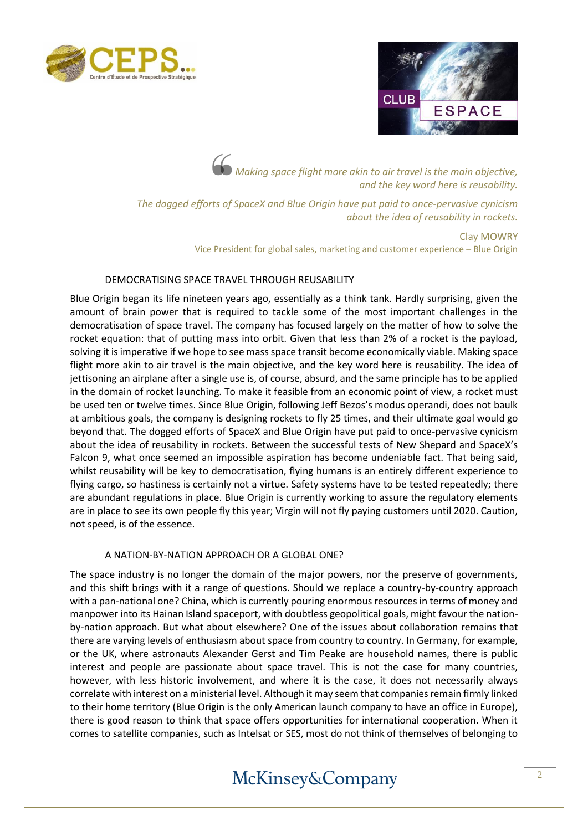



*Making space flight more akin to air travel is the main objective, and the key word here is reusability.*

*The dogged efforts of SpaceX and Blue Origin have put paid to once-pervasive cynicism about the idea of reusability in rockets.*

> Clay MOWRY Vice President for global sales, marketing and customer experience – Blue Origin

#### DEMOCRATISING SPACE TRAVEL THROUGH REUSABILITY

Blue Origin began its life nineteen years ago, essentially as a think tank. Hardly surprising, given the amount of brain power that is required to tackle some of the most important challenges in the democratisation of space travel. The company has focused largely on the matter of how to solve the rocket equation: that of putting mass into orbit. Given that less than 2% of a rocket is the payload, solving it is imperative if we hope to see mass space transit become economically viable. Making space flight more akin to air travel is the main objective, and the key word here is reusability. The idea of jettisoning an airplane after a single use is, of course, absurd, and the same principle has to be applied in the domain of rocket launching. To make it feasible from an economic point of view, a rocket must be used ten or twelve times. Since Blue Origin, following Jeff Bezos's modus operandi, does not baulk at ambitious goals, the company is designing rockets to fly 25 times, and their ultimate goal would go beyond that. The dogged efforts of SpaceX and Blue Origin have put paid to once-pervasive cynicism about the idea of reusability in rockets. Between the successful tests of New Shepard and SpaceX's Falcon 9, what once seemed an impossible aspiration has become undeniable fact. That being said, whilst reusability will be key to democratisation, flying humans is an entirely different experience to flying cargo, so hastiness is certainly not a virtue. Safety systems have to be tested repeatedly; there are abundant regulations in place. Blue Origin is currently working to assure the regulatory elements are in place to see its own people fly this year; Virgin will not fly paying customers until 2020. Caution, not speed, is of the essence.

#### A NATION-BY-NATION APPROACH OR A GLOBAL ONE?

The space industry is no longer the domain of the major powers, nor the preserve of governments, and this shift brings with it a range of questions. Should we replace a country-by-country approach with a pan-national one? China, which is currently pouring enormous resources in terms of money and manpower into its Hainan Island spaceport, with doubtless geopolitical goals, might favour the nationby-nation approach. But what about elsewhere? One of the issues about collaboration remains that there are varying levels of enthusiasm about space from country to country. In Germany, for example, or the UK, where astronauts Alexander Gerst and Tim Peake are household names, there is public interest and people are passionate about space travel. This is not the case for many countries, however, with less historic involvement, and where it is the case, it does not necessarily always correlate with interest on a ministerial level. Although it may seem that companies remain firmly linked to their home territory (Blue Origin is the only American launch company to have an office in Europe), there is good reason to think that space offers opportunities for international cooperation. When it comes to satellite companies, such as Intelsat or SES, most do not think of themselves of belonging to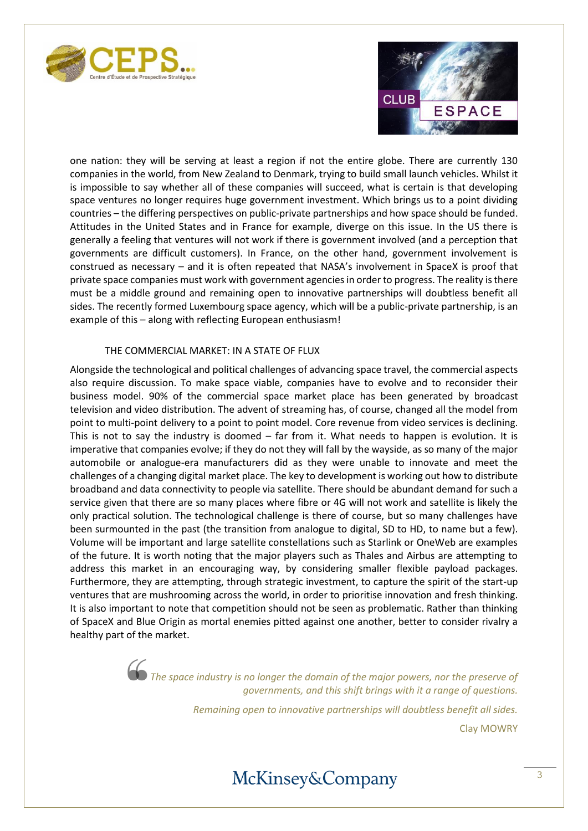



one nation: they will be serving at least a region if not the entire globe. There are currently 130 companies in the world, from New Zealand to Denmark, trying to build small launch vehicles. Whilst it is impossible to say whether all of these companies will succeed, what is certain is that developing space ventures no longer requires huge government investment. Which brings us to a point dividing countries – the differing perspectives on public-private partnerships and how space should be funded. Attitudes in the United States and in France for example, diverge on this issue. In the US there is generally a feeling that ventures will not work if there is government involved (and a perception that governments are difficult customers). In France, on the other hand, government involvement is construed as necessary – and it is often repeated that NASA's involvement in SpaceX is proof that private space companies must work with government agencies in order to progress. The reality is there must be a middle ground and remaining open to innovative partnerships will doubtless benefit all sides. The recently formed Luxembourg space agency, which will be a public-private partnership, is an example of this – along with reflecting European enthusiasm!

#### THE COMMERCIAL MARKET: IN A STATE OF FLUX

Alongside the technological and political challenges of advancing space travel, the commercial aspects also require discussion. To make space viable, companies have to evolve and to reconsider their business model. 90% of the commercial space market place has been generated by broadcast television and video distribution. The advent of streaming has, of course, changed all the model from point to multi-point delivery to a point to point model. Core revenue from video services is declining. This is not to say the industry is doomed – far from it. What needs to happen is evolution. It is imperative that companies evolve; if they do not they will fall by the wayside, as so many of the major automobile or analogue-era manufacturers did as they were unable to innovate and meet the challenges of a changing digital market place. The key to development is working out how to distribute broadband and data connectivity to people via satellite. There should be abundant demand for such a service given that there are so many places where fibre or 4G will not work and satellite is likely the only practical solution. The technological challenge is there of course, but so many challenges have been surmounted in the past (the transition from analogue to digital, SD to HD, to name but a few). Volume will be important and large satellite constellations such as Starlink or OneWeb are examples of the future. It is worth noting that the major players such as Thales and Airbus are attempting to address this market in an encouraging way, by considering smaller flexible payload packages. Furthermore, they are attempting, through strategic investment, to capture the spirit of the start-up ventures that are mushrooming across the world, in order to prioritise innovation and fresh thinking. It is also important to note that competition should not be seen as problematic. Rather than thinking of SpaceX and Blue Origin as mortal enemies pitted against one another, better to consider rivalry a healthy part of the market.

> **The space industry is no longer the domain of the major powers, nor the preserve of** *governments, and this shift brings with it a range of questions.*

> > *Remaining open to innovative partnerships will doubtless benefit all sides.* Clay MOWRY